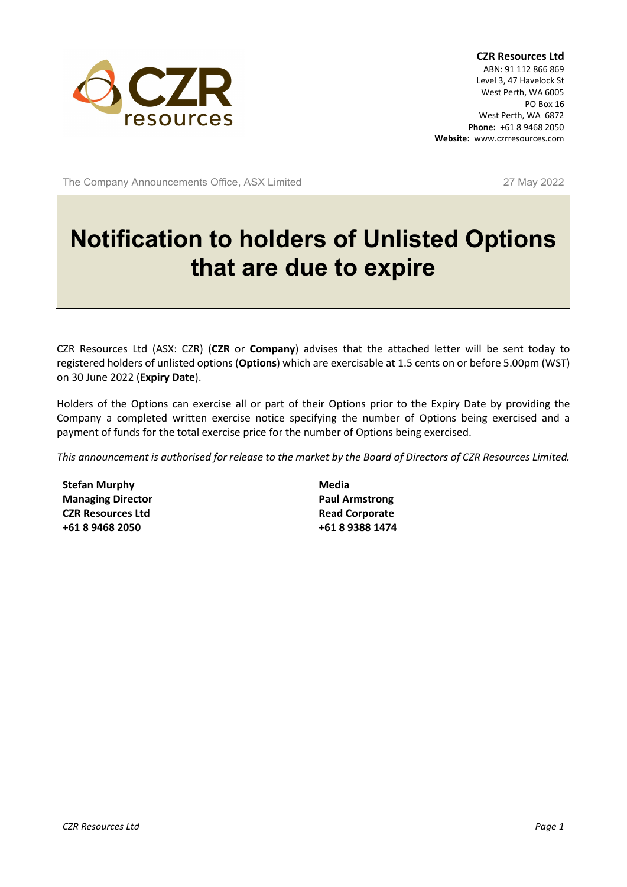

**CZR Resources Ltd** ABN: 91 112 866 869 Level 3, 47 Havelock St West Perth, WA 6005 PO Box 16 West Perth, WA 6872 **Phone:** +61 8 9468 2050 **Website:** www.czrresources.com

The Company Announcements Office, ASX Limited 27 May 2022

# **Notification to holders of Unlisted Options that are due to expire**

CZR Resources Ltd (ASX: CZR) (**CZR** or **Company**) advises that the attached letter will be sent today to registered holders of unlisted options (**Options**) which are exercisable at 1.5 cents on or before 5.00pm (WST) on 30 June 2022 (**Expiry Date**).

Holders of the Options can exercise all or part of their Options prior to the Expiry Date by providing the Company a completed written exercise notice specifying the number of Options being exercised and a payment of funds for the total exercise price for the number of Options being exercised.

*This announcement is authorised for release to the market by the Board of Directors of CZR Resources Limited.*

**Stefan Murphy Managing Director CZR Resources Ltd +61 8 9468 2050**

**Media Paul Armstrong Read Corporate +61 8 9388 1474**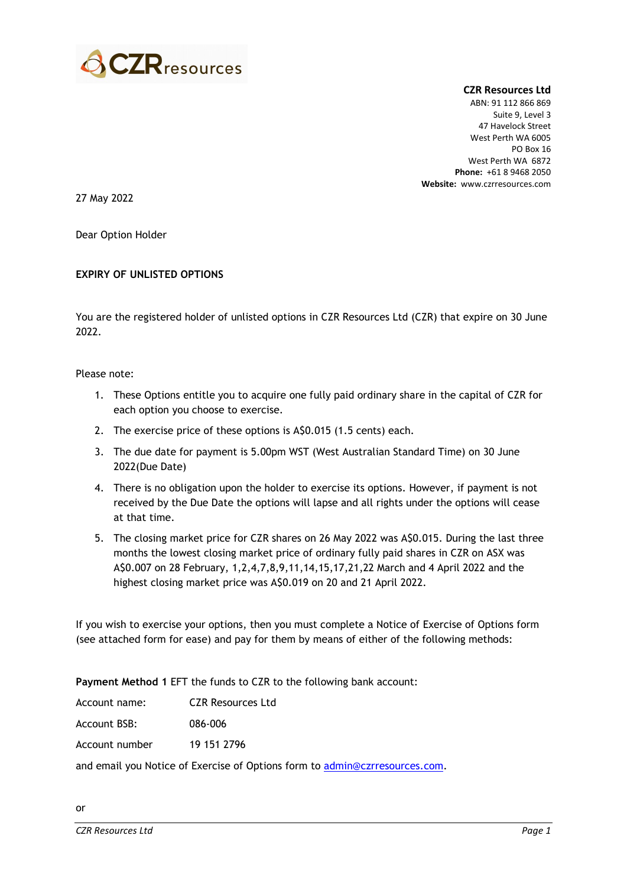

**CZR Resources Ltd** ABN: 91 112 866 869 Suite 9, Level 3 47 Havelock Street West Perth WA 6005 PO Box 16 West Perth WA 6872 **Phone:** +61 8 9468 2050 **Website:** www.czrresources.com

27 May 2022

Dear Option Holder

#### **EXPIRY OF UNLISTED OPTIONS**

You are the registered holder of unlisted options in CZR Resources Ltd (CZR) that expire on 30 June 2022.

Please note:

- 1. These Options entitle you to acquire one fully paid ordinary share in the capital of CZR for each option you choose to exercise.
- 2. The exercise price of these options is A\$0.015 (1.5 cents) each.
- 3. The due date for payment is 5.00pm WST (West Australian Standard Time) on 30 June 2022(Due Date)
- 4. There is no obligation upon the holder to exercise its options. However, if payment is not received by the Due Date the options will lapse and all rights under the options will cease at that time.
- 5. The closing market price for CZR shares on 26 May 2022 was A\$0.015. During the last three months the lowest closing market price of ordinary fully paid shares in CZR on ASX was A\$0.007 on 28 February, 1,2,4,7,8,9,11,14,15,17,21,22 March and 4 April 2022 and the highest closing market price was A\$0.019 on 20 and 21 April 2022.

If you wish to exercise your options, then you must complete a Notice of Exercise of Options form (see attached form for ease) and pay for them by means of either of the following methods:

**Payment Method 1** EFT the funds to CZR to the following bank account:

Account name: CZR Resources Ltd

Account BSB: 086-006

Account number 19 151 2796

and email you Notice of Exercise of Options form to [admin@czrresources.com.](mailto:admin@czrresources.com)

or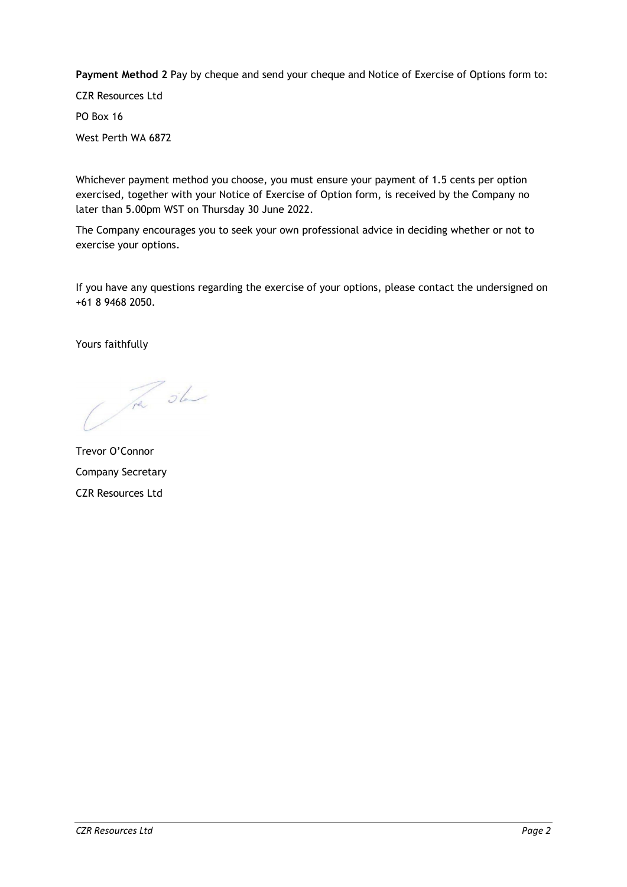**Payment Method 2** Pay by cheque and send your cheque and Notice of Exercise of Options form to:

CZR Resources Ltd PO Box 16 West Perth WA 6872

Whichever payment method you choose, you must ensure your payment of 1.5 cents per option exercised, together with your Notice of Exercise of Option form, is received by the Company no later than 5.00pm WST on Thursday 30 June 2022.

The Company encourages you to seek your own professional advice in deciding whether or not to exercise your options.

If you have any questions regarding the exercise of your options, please contact the undersigned on +61 8 9468 2050.

Yours faithfully

The sh

Trevor O'Connor Company Secretary CZR Resources Ltd